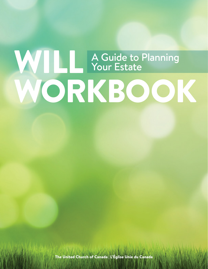# WILL WORKBOOK A Guide to Planning Your Estate

The United Church of Canada | L'Église Unie du Canada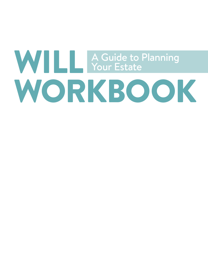# WILL WORKBOOK A Guide to Planning Your Estate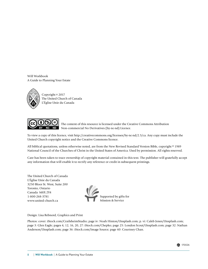Will Workbook A Guide to Planning Your Estate



Copyright © 2017 The United Church of Canada L'Église Unie du Canada



The content of this resource is licensed under the Creative Commons Attribution Non-commercial No Derivatives (by-nc-nd) Licence.

To view a copy of this licence, visit http://creativecommons.org/licenses/by-nc-nd/2.5/ca. Any copy must include the United Church copyright notice and the Creative Commons licence.

All biblical quotations, unless otherwise noted, are from the New Revised Standard Version Bible, copyright © 1989 National Council of the Churches of Christ in the United States of America. Used by permission. All rights reserved.

Care has been taken to trace ownership of copyright material contained in this text. The publisher will gratefully accept any information that will enable it to rectify any reference or credit in subsequent printings.

The United Church of Canada L'Église Unie du Canada 3250 Bloor St. West, Suite 200 Toronto, Ontario Canada M8X 2Y4 1-800-268-3781 www.united-church.ca



Design: Lisa Rebnord, Graphics and Print

Photos: cover: iStock.com/CrailsheimStudio; page iv: Noah Hinton/Unsplash.com; p. vi: Caleb Jones/Unsplash.com; page 3: Glen Eagle; pages 4, 12, 16, 20, 27: iStock.com/Chepko; page 25: London Scout/Unsplash.com; page 32: Nathan Anderson/Unsplash.com; page 36: iStock.com/Image Source; page 40: Courtney Chan.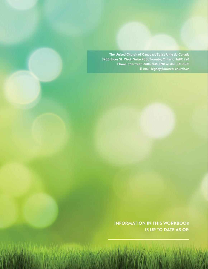**The United Church of Canada/L'Église Unie du Canada 3250 Bloor St. West, Suite 200, Toronto, Ontario M8X 2Y4 Phone: toll-free 1-800-268-3781 or 416-231-5931 E-mail: legacy@united-church.ca**

> **INFORMATION IN THIS WORKBOOK IS UP TO DATE AS OF:**

> > Creating Your Will: A Step-by-Step Guide **| iii**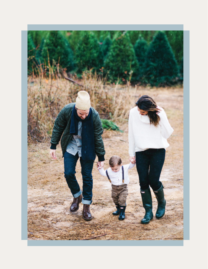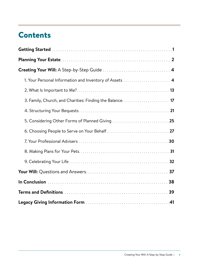# **Contents**

| 1. Your Personal Information and Inventory of Assets  4 |  |
|---------------------------------------------------------|--|
|                                                         |  |
|                                                         |  |
|                                                         |  |
| 5. Considering Other Forms of Planned Giving 25         |  |
|                                                         |  |
|                                                         |  |
|                                                         |  |
|                                                         |  |
|                                                         |  |
|                                                         |  |
|                                                         |  |
|                                                         |  |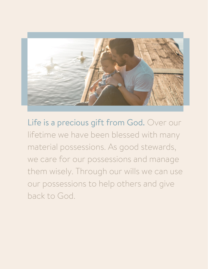

Life is a precious gift from God. Over our lifetime we have been blessed with many material possessions. As good stewards, we care for our possessions and manage them wisely. Through our wills we can use our possessions to help others and give back to God.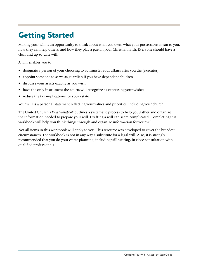# <span id="page-8-0"></span>Getting Started

Making your will is an opportunity to think about what you own, what your possessions mean to you, how they can help others, and how they play a part in your Christian faith. Everyone should have a clear and up-to-date will.

A will enables you to

- designate a person of your choosing to administer your affairs after you die (executor)
- appoint someone to serve as guardian if you have dependent children
- disburse your assets exactly as you wish
- have the only instrument the courts will recognize as expressing your wishes
- reduce the tax implications for your estate

Your will is a personal statement reflecting your values and priorities, including your church.

The United Church's *Will Workbook* outlines a systematic process to help you gather and organize the information needed to prepare your will. Drafting a will can seem complicated. Completing this workbook will help you think things through and organize information for your will.

Not all items in this workbook will apply to you. This resource was developed to cover the broadest circumstances. The workbook is not in any way a substitute for a legal will. Also, it is strongly recommended that you do your estate planning, including will writing, in close consultation with qualified professionals.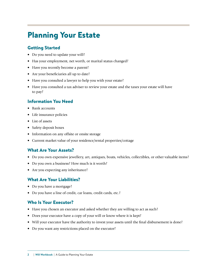## <span id="page-9-0"></span>Planning Your Estate

### Getting Started

- Do you need to update your will?
- Has your employment, net worth, or marital status changed?
- Have you recently become a parent?
- Are your beneficiaries all up to date?
- Have you consulted a lawyer to help you with your estate?
- Have you consulted a tax adviser to review your estate and the taxes your estate will have to pay?

### Information You Need

- Bank accounts
- Life insurance policies
- List of assets
- Safety deposit boxes
- Information on any offsite or onsite storage
- Current market value of your residence/rental properties/cottage

### What Are Your Assets?

- Do you own expensive jewellery, art, antiques, boats, vehicles, collectibles, or other valuable items?
- Do you own a business? How much is it worth?
- Are you expecting any inheritance?

### What Are Your Liabilities?

- Do you have a mortgage?
- Do you have a line of credit, car loans, credit cards, etc.?

### Who Is Your Executor?

- Have you chosen an executor and asked whether they are willing to act as such?
- Does your executor have a copy of your will or know where it is kept?
- Will your executor have the authority to invest your assets until the final disbursement is done?
- Do you want any restrictions placed on the executor?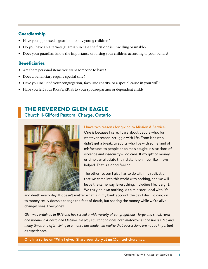### Guardianship

- Have you appointed a guardian to any young children?
- Do you have an alternate guardian in case the first one is unwilling or unable?
- Does your guardian know the importance of raising your children according to your beliefs?

### **Beneficiaries**

- Are there personal items you want someone to have?
- Does a beneficiary require special care?
- Have you included your congregation, favourite charity, or a special cause in your will?
- Have you left your RRSPs/RRIFs to your spouse/partner or dependent child?

### THE REVEREND GLEN EAGLE Churchill-Gilford Pastoral Charge, Ontario



**I have two reasons for giving to Mission & Service.** One is because I care. I care about people who, for whatever reason, struggle with life. From kids who didn't get a break, to adults who live with some kind of misfortune, to people or animals caught in situations of violence and insecurity—I do care. If my gift of money or time can alleviate their state, then I feel like I have helped. That is a good feeling.

The other reason I give has to do with my realization that we came into this world with nothing, and we will leave the same way. Everything, including life, is a gift. We truly do own nothing. As a minister I deal with life

and death every day. It doesn't matter what is in my bank account the day I die. Holding on to money really doesn't change the fact of death, but sharing the money while we're alive changes lives. Everyone's!

*Glen was ordained in 1979 and has served a wide variety of congregations—large and small, rural and urban—in Alberta and Ontario. He plays guitar and rides both motorcycles and horses. Moving many times and often living in a manse has made him realize that possessions are not as important as experiences.* 

**One in a series on "Why I give." Share your story at ms@united-church.ca.**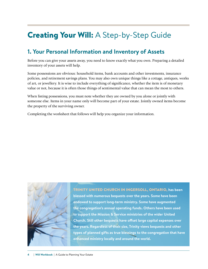# <span id="page-11-0"></span>**Creating Your Will: A Step-by-Step Guide**

### **1. Your Personal Information and Inventory of Assets**

Before you can give your assets away, you need to know exactly what you own. Preparing a detailed inventory of your assets will help.

Some possessions are obvious: household items, bank accounts and other investments, insurance policies, and retirement savings plans. You may also own unique things like a cottage, antiques, works of art, or jewellery. It is wise to include everything of significance, whether the item is of monetary value or not, because it is often those things of sentimental value that can mean the most to others.

When listing possessions, you must note whether they are owned by you alone or jointly with someone else. Items in your name only will become part of your estate. Jointly owned items become the property of the surviving owner.

Completing the worksheet that follows will help you organize your information.



TRINITY UNITED CHURCH IN INGERSOLL, ONTARIO, **has been blessed with numerous bequests over the years. Some have been endowed to support long-term ministry. Some have augmented the congregation's annual operating funds. Others have been used to support the Mission & Service ministries of the wider United Church. Still other bequests have offset large capital expenses over the years. Regardless of their size, Trinity views bequests and other types of planned gifts as true blessings to the congregation that have enhanced ministry locally and around the world.**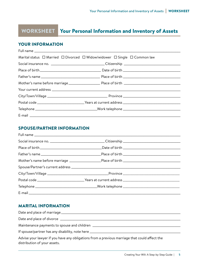### WORKSHEET Your Personal Information and Inventory of Assets

### **YOUR INFORMATION**

| Marital status □ Married □ Divorced □ Widow/widower □ Single □ Common law                            |  |
|------------------------------------------------------------------------------------------------------|--|
| Social insurance no. _________________________________Citizenship __________________________________ |  |
|                                                                                                      |  |
|                                                                                                      |  |
|                                                                                                      |  |
|                                                                                                      |  |
|                                                                                                      |  |
|                                                                                                      |  |
|                                                                                                      |  |
|                                                                                                      |  |

### **SPOUSE/PARTNER INFORMATION**

| F-mail <b>Example</b> |  |
|-----------------------|--|

### **MARITAL INFORMATION**

| Advise your lawyer if you have any obligations from a previous marriage that could affect the |
|-----------------------------------------------------------------------------------------------|

distribution of your assets.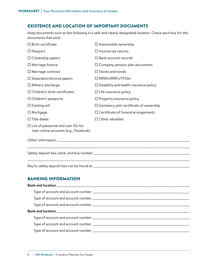### EXISTENCE AND LOCATION OF IMPORTANT DOCUMENTS

Keep documents such as the following in a safe and clearly designated location. Check each box for the documents that exist.

| $\Box$ Birth certificate                                                           | $\Box$ Automobile ownership                   |  |  |
|------------------------------------------------------------------------------------|-----------------------------------------------|--|--|
| $\Box$ Passport                                                                    | $\Box$ Income tax returns                     |  |  |
| $\Box$ Citizenship papers                                                          | $\Box$ Bank account records                   |  |  |
| $\Box$ Marriage licence                                                            | $\Box$ Company pension plan documents         |  |  |
| $\Box$ Marriage contract                                                           | $\Box$ Stocks and bonds                       |  |  |
| $\square$ Separation/divorce papers                                                | $\Box$ RRSPs/RRIFs/TFSAs                      |  |  |
| $\Box$ Military discharge                                                          | $\Box$ Disability and health insurance policy |  |  |
| $\Box$ Children's birth certificates                                               | $\Box$ Life insurance policy                  |  |  |
| $\Box$ Children's passports                                                        | $\Box$ Property insurance policy              |  |  |
| $\square$ Existing will                                                            | $\Box$ Cemetery plot certificate of ownership |  |  |
| $\Box$ Mortgage                                                                    | $\Box$ Certificate of funeral arrangements    |  |  |
| $\Box$ Title deeds                                                                 | $\Box$ Other valuables                        |  |  |
| $\Box$ List of passwords and user IDs for<br>main online accounts (e.g., Facebook) |                                               |  |  |
| Other information ____________                                                     |                                               |  |  |

Safety deposit box, bank, and box number\_\_\_\_\_\_\_\_\_\_\_\_\_\_\_\_\_\_\_\_\_\_\_\_\_\_\_\_\_\_\_\_\_\_\_\_\_\_\_\_\_\_\_\_\_\_\_\_\_\_\_\_\_\_\_\_\_\_\_\_\_\_\_\_\_\_\_\_\_\_\_\_\_\_\_\_\_\_\_\_\_\_\_\_\_\_\_\_\_\_\_\_\_\_\_\_\_\_\_\_\_\_\_\_

Key to safety deposit box can be found at \_\_\_\_\_\_\_\_\_\_\_\_\_\_\_\_\_\_\_\_\_\_\_\_\_\_\_\_\_\_\_\_\_\_\_\_\_\_\_\_\_\_\_\_\_\_\_\_\_\_\_\_\_\_\_\_\_\_\_\_\_\_\_\_\_\_\_\_\_\_\_\_\_\_\_\_\_\_\_\_\_\_\_\_\_\_\_\_\_\_\_\_\_\_\_\_\_\_\_\_\_\_\_\_

#### BANKING INFORMATION

\_\_\_\_\_\_\_\_\_\_\_\_\_\_\_\_\_\_\_\_\_\_\_\_\_\_\_\_\_\_\_\_\_\_\_\_\_\_\_\_\_\_\_\_\_\_\_\_\_\_\_\_\_\_\_\_\_\_\_\_\_\_\_\_\_\_\_\_\_\_\_\_\_\_\_\_\_\_\_\_\_\_\_\_\_\_\_\_\_\_\_\_\_\_\_\_\_\_\_\_\_\_\_\_\_\_\_\_\_\_\_\_\_\_\_\_\_\_\_\_\_\_\_\_\_\_\_\_\_\_\_\_\_\_\_\_\_\_\_\_\_\_\_\_\_\_\_\_\_\_\_\_\_\_\_\_\_\_\_\_\_\_\_\_\_\_\_\_\_\_\_\_\_\_\_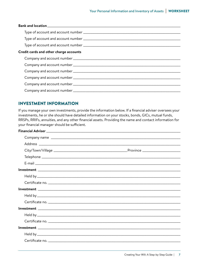| Credit cards and other charge accounts |  |  |  |  |
|----------------------------------------|--|--|--|--|
|                                        |  |  |  |  |
|                                        |  |  |  |  |
|                                        |  |  |  |  |
|                                        |  |  |  |  |
|                                        |  |  |  |  |
|                                        |  |  |  |  |

### **INVESTMENT INFORMATION**

If you manage your own investments, provide the information below. If a financial adviser oversees your investments, he or she should have detailed information on your stocks, bonds, GICs, mutual funds, RRSPs, RRIFs, annuities, and any other financial assets. Providing the name and contact information for your financial manager should be sufficient.

| Financial Adviser <b>Executive Construction Construction</b> |  |  |  |  |
|--------------------------------------------------------------|--|--|--|--|
|                                                              |  |  |  |  |
|                                                              |  |  |  |  |
|                                                              |  |  |  |  |
|                                                              |  |  |  |  |
|                                                              |  |  |  |  |
|                                                              |  |  |  |  |
|                                                              |  |  |  |  |
|                                                              |  |  |  |  |
|                                                              |  |  |  |  |
|                                                              |  |  |  |  |
|                                                              |  |  |  |  |
|                                                              |  |  |  |  |
|                                                              |  |  |  |  |
|                                                              |  |  |  |  |
|                                                              |  |  |  |  |
|                                                              |  |  |  |  |
|                                                              |  |  |  |  |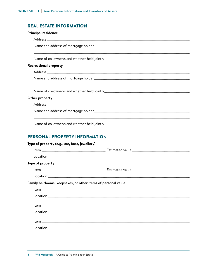### **REAL ESTATE INFORMATION**

| <b>Principal residence</b> |
|----------------------------|
|                            |
|                            |
|                            |
| Recreational property      |
|                            |
|                            |
|                            |
| Other property             |
|                            |
|                            |
|                            |

### PERSONAL PROPERTY INFORMATION

|  |  |  |  | Type of property (e.g., car, boat, jewellery) |
|--|--|--|--|-----------------------------------------------|
|--|--|--|--|-----------------------------------------------|

| Type of property                                              |  |
|---------------------------------------------------------------|--|
|                                                               |  |
|                                                               |  |
| Family heirlooms, keepsakes, or other items of personal value |  |
|                                                               |  |
|                                                               |  |
|                                                               |  |
|                                                               |  |
|                                                               |  |
|                                                               |  |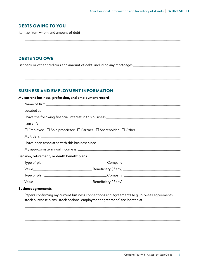#### **DEBTS OWING TO YOU**

#### **DEBTS YOU OWE**

List bank or other creditors and amount of debt, including any mortgages \_\_\_\_\_\_\_\_\_\_\_\_\_\_\_\_\_\_\_\_\_\_\_\_\_\_\_

### **BUSINESS AND EMPLOYMENT INFORMATION**

#### My current business, profession, and employment record

|                                             | l am an/a                                                                             |  |  |  |
|---------------------------------------------|---------------------------------------------------------------------------------------|--|--|--|
|                                             | $\Box$ Employee $\Box$ Sole proprietor $\Box$ Partner $\Box$ Shareholder $\Box$ Other |  |  |  |
|                                             |                                                                                       |  |  |  |
|                                             |                                                                                       |  |  |  |
|                                             |                                                                                       |  |  |  |
| Pension, retirement, or death benefit plans |                                                                                       |  |  |  |
|                                             |                                                                                       |  |  |  |
|                                             |                                                                                       |  |  |  |
|                                             |                                                                                       |  |  |  |
|                                             |                                                                                       |  |  |  |
|                                             |                                                                                       |  |  |  |

#### **Business agreements**

Papers confirming my current business connections and agreements (e.g., buy-sell agreements, stock purchase plans, stock options, employment agreement) are located at \_\_\_\_\_\_\_\_\_\_\_\_\_\_\_\_\_\_\_\_\_\_\_\_\_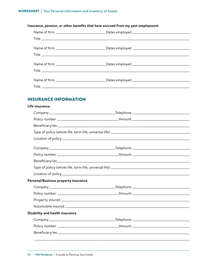### Insurance, pension, or other benefits that have accrued from my past employment

### **INSURANCE INFORMATION**

#### Life insurance

| Personal/Business property insurance |  |
|--------------------------------------|--|
|                                      |  |
|                                      |  |
|                                      |  |
|                                      |  |
| Disability and health insurance      |  |
|                                      |  |
|                                      |  |
|                                      |  |
|                                      |  |
|                                      |  |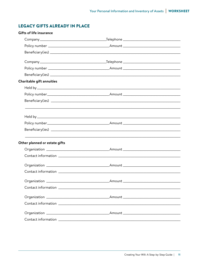### LEGACY GIFTS ALREADY IN PLACE

| <b>Gifts of life insurance</b> |                                                                                                                                                                      |  |
|--------------------------------|----------------------------------------------------------------------------------------------------------------------------------------------------------------------|--|
|                                |                                                                                                                                                                      |  |
|                                |                                                                                                                                                                      |  |
|                                |                                                                                                                                                                      |  |
|                                |                                                                                                                                                                      |  |
|                                |                                                                                                                                                                      |  |
|                                |                                                                                                                                                                      |  |
| Charitable gift annuities      |                                                                                                                                                                      |  |
|                                |                                                                                                                                                                      |  |
|                                |                                                                                                                                                                      |  |
|                                |                                                                                                                                                                      |  |
|                                |                                                                                                                                                                      |  |
|                                |                                                                                                                                                                      |  |
|                                |                                                                                                                                                                      |  |
| Other planned or estate gifts  | ,我们的人们就会在这里的人们,我们就会在这里的人们,我们就会在这里的人们,我们就会在这里的人们,我们就会在这里的人们,我们就会在这里的人们,我们就会在这里的人们<br>第2011章 我们的人们,我们就会在这里的人们,我们就会在这里的人们,我们就会在这里的人们,我们就会在这里的人们,我们就会在这里的人们,我们就会在这里的人们,我 |  |
|                                |                                                                                                                                                                      |  |
|                                |                                                                                                                                                                      |  |
|                                |                                                                                                                                                                      |  |
|                                |                                                                                                                                                                      |  |
|                                |                                                                                                                                                                      |  |
|                                |                                                                                                                                                                      |  |
|                                |                                                                                                                                                                      |  |
|                                |                                                                                                                                                                      |  |
|                                |                                                                                                                                                                      |  |
|                                |                                                                                                                                                                      |  |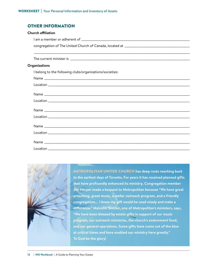### OTHER INFORMATION

#### **Church affiliation**

I am a member or adherent of \_\_\_\_\_\_\_\_\_\_\_\_\_\_\_\_\_\_\_\_\_\_\_\_\_\_\_\_\_\_\_\_\_\_\_\_\_\_\_\_\_\_\_\_\_\_\_\_\_\_\_\_\_\_\_\_\_\_\_\_\_\_\_\_\_\_\_\_\_\_\_\_\_\_\_\_\_\_\_\_\_\_\_\_\_\_\_\_\_\_\_\_\_\_\_\_\_\_\_\_\_\_\_\_\_\_\_\_\_\_\_\_\_\_\_\_\_

congregation of The United Church of Canada, located at \_\_\_\_\_\_\_\_\_\_\_\_\_\_\_\_\_\_\_\_\_\_\_\_\_\_\_\_\_\_\_\_\_\_\_\_\_\_\_\_\_\_\_\_\_\_\_\_\_\_\_\_\_\_\_\_\_\_\_\_\_\_\_\_\_\_\_\_\_\_

The current minister is \_\_\_\_\_\_\_\_\_\_\_\_\_\_\_\_\_\_\_\_\_\_\_\_\_\_\_\_\_\_\_\_\_\_\_\_\_\_\_\_\_\_\_\_\_\_\_\_\_\_\_\_\_\_\_\_\_\_\_\_\_\_\_\_\_\_\_\_\_\_\_\_\_\_\_\_\_\_\_\_\_\_\_\_\_\_\_\_\_\_\_\_\_\_\_\_\_\_\_\_\_\_\_\_\_\_\_\_\_\_\_\_\_\_\_\_\_\_\_\_\_\_\_\_\_\_\_\_\_

#### **Organizations**

I belong to the following clubs/organizations/societies:

| $\begin{picture}(150,10) \put(0,0){\vector(1,0){100}} \put(15,0){\vector(1,0){100}} \put(15,0){\vector(1,0){100}} \put(15,0){\vector(1,0){100}} \put(15,0){\vector(1,0){100}} \put(15,0){\vector(1,0){100}} \put(15,0){\vector(1,0){100}} \put(15,0){\vector(1,0){100}} \put(15,0){\vector(1,0){100}} \put(15,0){\vector(1,0){100}} \put(15,0){\vector(1,0){100}}$ |
|--------------------------------------------------------------------------------------------------------------------------------------------------------------------------------------------------------------------------------------------------------------------------------------------------------------------------------------------------------------------|
|                                                                                                                                                                                                                                                                                                                                                                    |
|                                                                                                                                                                                                                                                                                                                                                                    |
|                                                                                                                                                                                                                                                                                                                                                                    |
|                                                                                                                                                                                                                                                                                                                                                                    |
|                                                                                                                                                                                                                                                                                                                                                                    |
|                                                                                                                                                                                                                                                                                                                                                                    |

\_\_\_\_\_\_\_\_\_\_\_\_\_\_\_\_\_\_\_\_\_\_\_\_\_\_\_\_\_\_\_\_\_\_\_\_\_\_\_\_\_\_\_\_\_\_\_\_\_\_\_\_\_\_\_\_\_\_\_\_\_\_\_\_\_\_\_\_\_\_\_\_\_\_\_\_\_\_\_\_\_\_\_\_\_\_\_\_\_\_\_\_\_\_\_\_\_\_\_\_\_\_\_\_\_\_\_\_\_\_\_\_\_\_\_\_\_\_\_\_\_\_\_\_\_\_\_\_\_\_\_\_\_\_\_\_\_\_\_\_\_\_\_\_\_\_\_\_\_\_\_\_\_\_\_\_\_\_\_\_\_\_\_\_\_\_\_\_



METROPOLITAN UNITED CHURCH **has deep roots reaching back to the earliest days of Toronto. For years it has received planned gifts that have profoundly enhanced its ministry. Congregation member Jim Harper made a bequest to Metropolitan because "We have great preaching, great music, a stellar outreach program, and a friendly congregation.… I knew my gift would be used wisely and make a difference." Malcolm Sinclair, one of Metropolitan's ministers, says, "We have been blessed by estate gifts in support of our music program, our outreach ministries, the church's endowment fund, and our general operations. Some gifts have come out of the blue at critical times and have enabled our ministry here greatly." To God be the glory!**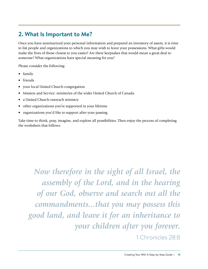### <span id="page-20-0"></span>**2. What Is Important to Me?**

Once you have summarized your personal information and prepared an inventory of assets, it is time to list people and organizations to which you may wish to leave your possessions. What gifts would make the lives of those closest to you easier? Are there keepsakes that would mean a great deal to someone? What organizations have special meaning for you?

Please consider the following:

- family
- **friends**
- your local United Church congregation
- Mission and Service: ministries of the wider United Church of Canada
- a United Church outreach ministry
- other organizations you've supported in your lifetime
- organizations you'd like to support after your passing

Take time to think, pray, imagine, and explore all possibilities. Then enjoy the process of completing the worksheet that follows.

*Now therefore in the sight of all Israel, the assembly of the Lord, and in the hearing of our God, observe and search out all the commandments...that you may possess this good land, and leave it for an inheritance to your children after you forever.* 1 Chronicles 28:8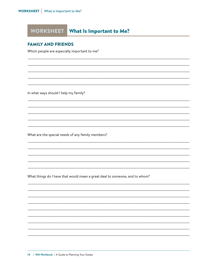### WORKSHEET What Is Important to Me?

### **FAMILY AND FRIENDS**

Which people are especially important to me?

In what ways should I help my family?

What are the special needs of any family members?

What things do I have that would mean a great deal to someone, and to whom?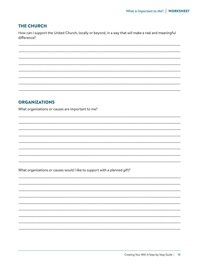### **THE CHURCH**

How can I support the United Church, locally or beyond, in a way that will make a real and meaningful difference?

### **ORGANIZATIONS**

What organizations or causes are important to me?

What organizations or causes would I like to support with a planned gift?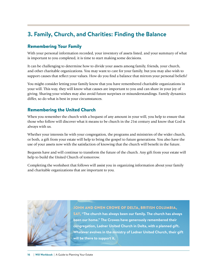### <span id="page-23-0"></span>**3. Family, Church, and Charities: Finding the Balance**

### Remembering Your Family

With your personal information recorded, your inventory of assets listed, and your summary of what is important to you completed, it is time to start making some decisions.

It can be challenging to determine how to divide your assets among family, friends, your church, and other charitable organizations. You may want to care for your family, but you may also wish to support causes that reflect your values. How do you find a balance that mirrors your personal beliefs?

You might consider letting your family know that you have remembered charitable organizations in your will. This way, they will know what causes are important to you and can share in your joy of giving. Sharing your wishes may also avoid future surprises or misunderstandings. Family dynamics differ, so do what is best in your circumstances.

### Remembering the United Church

When you remember the church with a bequest of any amount in your will, you help to ensure that those who follow will discover what it means to be church in the 21st century and know that God is always with us.

Whether your interests lie with your congregation, the programs and ministries of the wider church, or both, a gift from your estate will help to bring the gospel to future generations. You also have the use of your assets now with the satisfaction of knowing that the church will benefit in the future.

Bequests have and will continue to transform the future of the church. Any gift from your estate will help to build the United Church of tomorrow.

Completing the worksheet that follows will assist you in organizing information about your family and charitable organizations that are important to you.



#### JOHN AND GWEN CROWE OF DELTA, BRITISH COLUMBIA,

SAY, **"The church has always been our family. The church has always been our home." The Crowes have generously remembered their congregation, Ladner United Church in Delta, with a planned gift. Whatever evolves in the ministry of Ladner United Church, their gift will be there to support it.**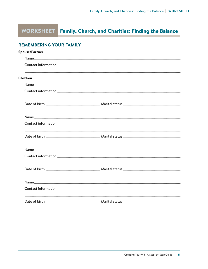#### **WORKSHEET Family, Church, and Charities: Finding the Balance**

### **REMEMBERING YOUR FAMILY**

| Spouse/Partner |  |
|----------------|--|
|                |  |
|                |  |
| Children       |  |
|                |  |
|                |  |
|                |  |
|                |  |
|                |  |
|                |  |
|                |  |
|                |  |
|                |  |
|                |  |
|                |  |
|                |  |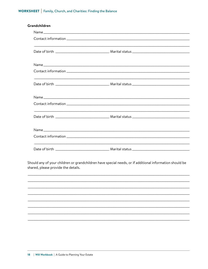| Grandchildren |  |
|---------------|--|
|               |  |
|               |  |
|               |  |
|               |  |
|               |  |
|               |  |
|               |  |
|               |  |
|               |  |
|               |  |
|               |  |
|               |  |

Should any of your children or grandchildren have special needs, or if additional information should be shared, please provide the details.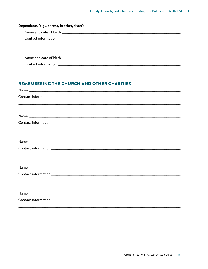| Dependants (e.g., parent, brother, sister) |  |
|--------------------------------------------|--|
|                                            |  |
|                                            |  |
|                                            |  |
|                                            |  |
|                                            |  |
|                                            |  |
|                                            |  |

### **REMEMBERING THE CHURCH AND OTHER CHARITIES**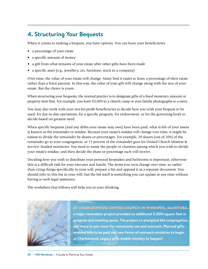### <span id="page-27-0"></span>**4. Structuring Your Bequests**

When it comes to making a bequest, you have options. You can leave your beneficiaries

- a percentage of your estate
- a specific amount of money
- a gift from what remains of your estate after other gifts have been made
- a specific asset (e.g., jewellery, art, furniture, stock in a company)

Over time, the value of your estate will change. Many find it easier to leave a percentage of their estate rather than a fixed amount. In this way, the value of your gift will change along with the size of your estate. But the choice is yours.

When structuring your bequests, the normal practice is to designate gifts of a fixed monetary amount or property item first. For example, you leave \$5,000 to a church camp or your family photographs to a niece.

You may also work with your not-for-profit beneficiaries to decide how you wish your bequest to be used: for day-to-day operations, for a specific program, for endowment, or for the governing body to decide based on greatest need.

When specific bequests (and any debts your estate may owe) have been paid, what is left of your assets is known as the remainder or residue. Because your estate's residue will change over time, it might be easiest to divide the remainder by shares or percentages. For example, 20 shares (out of 100) of the remainder go to your congregation, or 15 percent of the remainder goes for United Church Mission & Service–funded ministries. You need to name the people or charities among which you wish to divide your estate's residue, and then decide the share or percentage each will receive.

Deciding how you wish to distribute your personal keepsakes and heirlooms is important; otherwise this is a difficult task for your executor and family. The items you own change over time, so rather than citing things specifically in your will, prepare a list and append it as a separate document. You should refer to this list in your will, but the list itself is something you can update at any time without having to seek legal assistance.

The worksheet that follows will help you in your thinking.



AT CHARLESWOOD UNITED CHURCH IN WINNIPEG, MANITOBA, **a major renovation project provided an additional 11,000 square feet in program and meeting space. The project re-energized the congregation, and there is now room for community use and outreach. Planned gifts enabled bills to be paid and new forms of outreach ministries to begin at Charleswood. Legacy gifts enable ministry to happen!**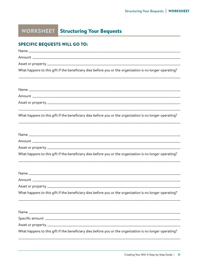### WORKSHEET Structuring Your Bequests

### **SPECIFIC BEQUESTS WILL GO TO:**

| What happens to this gift if the beneficiary dies before you or the organization is no longer operating? |
|----------------------------------------------------------------------------------------------------------|
|                                                                                                          |
|                                                                                                          |
|                                                                                                          |
| What happens to this gift if the beneficiary dies before you or the organization is no longer operating? |
|                                                                                                          |
|                                                                                                          |
|                                                                                                          |
| What happens to this gift if the beneficiary dies before you or the organization is no longer operating? |
|                                                                                                          |
|                                                                                                          |
|                                                                                                          |
| What happens to this gift if the beneficiary dies before you or the organization is no longer operating? |
|                                                                                                          |
|                                                                                                          |
|                                                                                                          |
| What happens to this gift if the beneficiary dies before you or the organization is no longer operating? |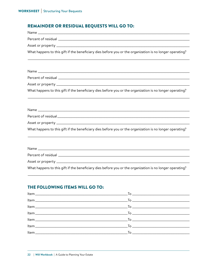### **REMAINDER OR RESIDUAL BEQUESTS WILL GO TO:**

| What happens to this gift if the beneficiary dies before you or the organization is no longer operating? |
|----------------------------------------------------------------------------------------------------------|
|                                                                                                          |
|                                                                                                          |
|                                                                                                          |
| What happens to this gift if the beneficiary dies before you or the organization is no longer operating? |
|                                                                                                          |
|                                                                                                          |
|                                                                                                          |
| What happens to this gift if the beneficiary dies before you or the organization is no longer operating? |
|                                                                                                          |
|                                                                                                          |
|                                                                                                          |
| What happens to this gift if the beneficiary dies before you or the organization is no longer operating? |

### THE FOLLOWING ITEMS WILL GO TO: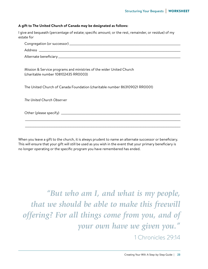#### **A gift to The United Church of Canada may be designated as follows:**

I give and bequeath (percentage of estate; specific amount; or the rest, remainder, or residue) of my estate for

| Mission & Service programs and ministries of the wider United Church        |
|-----------------------------------------------------------------------------|
| (charitable number 108102435 RR0003)                                        |
|                                                                             |
| The United Church of Canada Foundation (charitable number 863109021 RR0001) |
|                                                                             |
| The United Church Observer                                                  |
|                                                                             |
|                                                                             |
|                                                                             |

When you leave a gift to the church, it is always prudent to name an alternate successor or beneficiary. This will ensure that your gift will still be used as you wish in the event that your primary beneficiary is no longer operating or the specific program you have remembered has ended.

\_\_\_\_\_\_\_\_\_\_\_\_\_\_\_\_\_\_\_\_\_\_\_\_\_\_\_\_\_\_\_\_\_\_\_\_\_\_\_\_\_\_\_\_\_\_\_\_\_\_\_\_\_\_\_\_\_\_\_\_\_\_\_\_\_\_\_\_\_\_\_\_\_\_\_\_\_\_\_\_\_\_\_\_\_\_\_\_\_\_\_\_\_\_\_\_\_\_\_\_\_\_\_\_\_\_\_\_\_\_\_\_\_\_\_\_\_\_\_\_\_\_\_\_\_\_\_\_\_\_\_\_\_\_\_\_\_\_\_\_\_\_\_\_\_\_\_\_\_\_\_\_\_\_\_\_\_\_\_\_\_\_\_\_\_\_\_\_

*"But who am I, and what is my people, that we should be able to make this freewill offering? For all things come from you, and of your own have we given you."* 1 Chronicles 29:14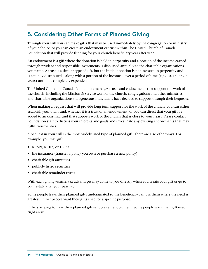### <span id="page-31-0"></span>**5. Considering Other Forms of Planned Giving**

Through your will you can make gifts that may be used immediately by the congregation or ministry of your choice, or you can create an endowment or trust within The United Church of Canada Foundation that will provide funding for your church beneficiary year after year.

An endowment is a gift where the donation is held in perpetuity and a portion of the income earned through prudent and responsible investments is disbursed annually to the charitable organizations you name. A trust is a similar type of gift, but the initial donation is not invested in perpetuity and is actually distributed—along with a portion of the income—over a period of time (e.g., 10, 15, or 20 years) until it is completely expended.

The United Church of Canada Foundation manages trusts and endowments that support the work of the church, including the Mission & Service work of the church, congregations and other ministries, and charitable organizations that generous individuals have decided to support through their bequests.

When making a bequest that will provide long-term support for the work of the church, you can either establish your own fund, whether it is a trust or an endowment, or you can direct that your gift be added to an existing fund that supports work of the church that is close to your heart. Please contact Foundation staff to discuss your interests and goals and investigate any existing endowments that may fulfill your wishes.

A bequest in your will is the most widely used type of planned gift. There are also other ways. For example, you may gift

- RRSPs, RRIFs, or TFSAs
- life insurance (transfer a policy you own or purchase a new policy)
- charitable gift annuities
- publicly listed securities
- charitable remainder trusts

With each giving vehicle, tax advantages may come to you directly when you create your gift or go to your estate after your passing.

Some people leave their planned gifts undesignated so the beneficiary can use them where the need is greatest. Other people want their gifts used for a specific purpose.

Others arrange to have their planned gift set up as an endowment. Some people want their gift used right away.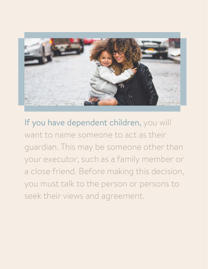

If you have dependent children, you will want to name someone to act as their guardian. This may be someone other than your executor, such as a family member or a close friend. Before making this decision, you must talk to the person or persons to seek their views and agreement.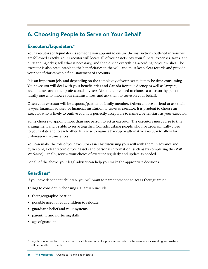### <span id="page-33-0"></span>**6. Choosing People to Serve on Your Behalf**

### Executors/Liquidators\*

Your executor (or liquidator) is someone you appoint to ensure the instructions outlined in your will are followed exactly. Your executor will locate all of your assets; pay your funeral expenses, taxes, and outstanding debts; sell what is necessary; and then divide everything according to your wishes. The executor is also accountable to the beneficiaries in the will, and must keep clear records and provide your beneficiaries with a final statement of accounts.

It is an important job, and depending on the complexity of your estate, it may be time-consuming. Your executor will deal with your beneficiaries and Canada Revenue Agency as well as lawyers, accountants, and other professional advisers. You therefore need to choose a trustworthy person, ideally one who knows your circumstances, and ask them to serve on your behalf.

Often your executor will be a spouse/partner or family member. Others choose a friend or ask their lawyer, financial adviser, or financial institution to serve as executor. It is prudent to choose an executor who is likely to outlive you. It is perfectly acceptable to name a beneficiary as your executor.

Some choose to appoint more than one person to act as executor. The executors must agree to this arrangement and be able to serve together. Consider asking people who live geographically close to your estate and to each other. It is wise to name a backup or alternative executor to allow for unforeseen circumstances.

You can make the role of your executor easier by discussing your will with them in advance and by keeping a clear record of your assets and personal information (such as by completing this *Will Workbook*). Finally, review your choice of executor regularly and update as needed.

For all of the above, your legal adviser can help you make the appropriate decisions.

### Guardians\*

If you have dependent children, you will want to name someone to act as their guardian.

Things to consider in choosing a guardian include

- their geographic location
- possible need for your children to relocate
- guardian's belief and value systems
- parenting and nurturing skills
- age of guardian

<sup>\*</sup> Legislation varies by province/territory. Please consult a professional advisor to ensure your wording and wishes will be handled properly.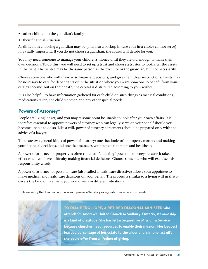- other children in the guardian's family
- their financial situation

As difficult as choosing a guardian may be (and also a backup in case your first choice cannot serve), it is vitally important. If you do not choose a guardian, the courts will decide for you.

You may need someone to manage your children's money until they are old enough to make their own decisions. To do this, you will need to set up a trust and choose a trustee to look after the assets in the trust. The trustee may be the same person as the executor or the guardian, but not necessarily.

Choose someone who will make wise financial decisions, and give them clear instructions. Trusts may be necessary to care for dependants or in the situation where you want someone to benefit from your estate's income, but on their death, the capital is distributed according to your wishes.

It is also helpful to have information gathered for each child on such things as medical conditions, medications taken, the child's doctor, and any other special needs.

### Powers of Attorney\*

People are living longer, and you may at some point be unable to look after your own affairs. It is therefore essential to appoint powers of attorney who can legally serve on your behalf should you become unable to do so. Like a will, power of attorney agreements should be prepared only with the advice of a lawyer.

There are two general kinds of power of attorney: one that looks after property matters and making your financial decisions, and one that manages your personal matters and healthcare.

A power of attorney for property is often called an "enduring" power of attorney because it takes effect when you have difficulty making financial decisions. Choose someone who will exercise this responsibility wisely.

A power of attorney for personal care (also called a healthcare directive) allows your appointee to make medical and healthcare decisions on your behalf. The process is similar to a living will in that it covers the kind of treatment you would wish in different situations.

\* Please verify that this is an option in your province/territory as legislation varies across Canada.



TO DIANE TROLLOPE, A RETIRED DIACONAL MINISTER **who attends St. Andrew's United Church in Sudbury, Ontario, stewardship is a kind of gratitude. She has left a bequest for Mission & Service because churches need resources to enable their mission. Her bequest leaves a percentage of her estate to the wider church—one last gift she could offer from a lifetime of giving.**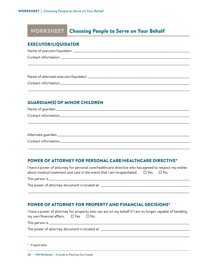#### **Choosing People to Serve on Your Behalf WORKSHEET**

### **EXECUTOR/LIQUIDATOR**

| Name of executor/liquidator _ |
|-------------------------------|
| Contact information           |
|                               |

| Name of alternate executor/liquidator |  |
|---------------------------------------|--|
| Contact information                   |  |

### **GUARDIAN(S) OF MINOR CHILDREN**

### **POWER OF ATTORNEY FOR PERSONAL CARE/HEALTHCARE DIRECTIVE\***

I have a power of attorney for personal care/healthcare directive who has agreed to respect my wishes about medical treatment and care in the event that I am incapacitated.  $\Box$  Yes  $\Box$  No

The power of attorney document is located at \_\_\_\_\_\_\_\_\_\_\_\_\_\_\_\_

### **POWER OF ATTORNEY FOR PROPERTY AND FINANCIAL DECISIONS\***

|                                                |  | I have a power of attorney for property who can act on my behalf if I am no longer capable of handling |  |  |
|------------------------------------------------|--|--------------------------------------------------------------------------------------------------------|--|--|
| my own financial affairs. $\Box$ Yes $\Box$ No |  |                                                                                                        |  |  |
| This person is ______________________          |  |                                                                                                        |  |  |
| The power of attorney document is located at   |  |                                                                                                        |  |  |

\* If applicable.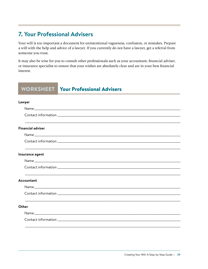### <span id="page-36-0"></span>**7. Your Professional Advisers**

Your will is too important a document for unintentional vagueness, confusion, or mistakes. Prepare a will with the help and advice of a lawyer. If you currently do not have a lawyer, get a referral from someone you trust.

It may also be wise for you to consult other professionals such as your accountant, financial adviser, or insurance specialist to ensure that your wishes are absolutely clear and are in your best financial interest.

### WORKSHEET Your Professional Advisers

#### Lawyer

| <b>Financial adviser</b> |  |  |  |
|--------------------------|--|--|--|
|                          |  |  |  |
|                          |  |  |  |
| Insurance agent          |  |  |  |
|                          |  |  |  |
|                          |  |  |  |
| Accountant               |  |  |  |
|                          |  |  |  |
|                          |  |  |  |
|                          |  |  |  |
| Other                    |  |  |  |
|                          |  |  |  |
|                          |  |  |  |
|                          |  |  |  |
|                          |  |  |  |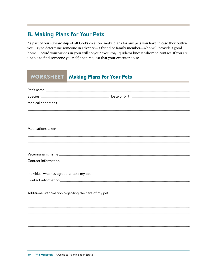### <span id="page-37-0"></span>8. Making Plans for Your Pets

As part of our stewardship of all God's creation, make plans for any pets you have in case they outlive you. Try to determine someone in advance—a friend or family member—who will provide a good home. Record your wishes in your will so your executor/liquidator knows whom to contact. If you are unable to find someone yourself, then request that your executor do so.

### **WORKSHEET** Making Plans for Your Pets

| Additional information regarding the care of my pet |  |
|-----------------------------------------------------|--|
|                                                     |  |
|                                                     |  |
|                                                     |  |
|                                                     |  |
|                                                     |  |
|                                                     |  |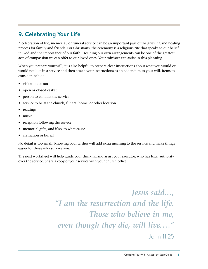### <span id="page-38-0"></span>**9. Celebrating Your Life**

A celebration of life, memorial, or funeral service can be an important part of the grieving and healing process for family and friends. For Christians, the ceremony is a religious rite that speaks to our belief in God and the importance of our faith. Deciding our own arrangements can be one of the greatest acts of compassion we can offer to our loved ones. Your minister can assist in this planning.

When you prepare your will, it is also helpful to prepare clear instructions about what you would or would not like in a service and then attach your instructions as an addendum to your will. Items to consider include

- visitation or not
- open or closed casket
- person to conduct the service
- service to be at the church, funeral home, or other location
- readings
- music
- reception following the service
- memorial gifts, and if so, to what cause
- cremation or burial

No detail is too small. Knowing your wishes will add extra meaning to the service and make things easier for those who survive you.

The next worksheet will help guide your thinking and assist your executor, who has legal authority over the service. Share a copy of your service with your church office.

> *Jesus said..., "I am the resurrection and the life. Those who believe in me, even though they die, will live.…"* John 11:25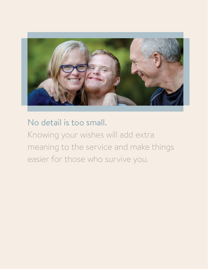

# No detail is too small.

Knowing your wishes will add extra meaning to the service and make things easier for those who survive you.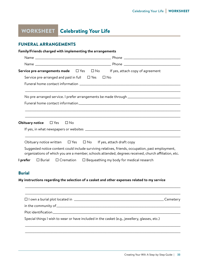### WORKSHEET Celebrating Your Life

### **FUNERAL ARRANGEMENTS**

| Family/Friends charged with implementing the arrangements                                                                                                                                                  |  |  |  |  |
|------------------------------------------------------------------------------------------------------------------------------------------------------------------------------------------------------------|--|--|--|--|
|                                                                                                                                                                                                            |  |  |  |  |
|                                                                                                                                                                                                            |  |  |  |  |
| Service pre-arrangements made □ Yes □ No If yes, attach copy of agreement                                                                                                                                  |  |  |  |  |
| Service pre-arranged and paid in full $\Box$ Yes $\Box$ No                                                                                                                                                 |  |  |  |  |
|                                                                                                                                                                                                            |  |  |  |  |
|                                                                                                                                                                                                            |  |  |  |  |
|                                                                                                                                                                                                            |  |  |  |  |
|                                                                                                                                                                                                            |  |  |  |  |
| <b>Obituary notice</b> $\Box$ Yes<br>$\Box$ No                                                                                                                                                             |  |  |  |  |
|                                                                                                                                                                                                            |  |  |  |  |
| Obituary notice written $\Box$ Yes $\Box$ No If yes, attach draft copy                                                                                                                                     |  |  |  |  |
| Suggested notice content could include surviving relatives, friends, occupation, past employment,<br>organizations of which you are a member, schools attended, degrees received, church affiliation, etc. |  |  |  |  |
| <b>I prefer</b> $\Box$ Burial $\Box$ Cremation $\Box$ Bequeathing my body for medical research                                                                                                             |  |  |  |  |
| <b>Burial</b>                                                                                                                                                                                              |  |  |  |  |
| My instructions regarding the selection of a casket and other expenses related to my service                                                                                                               |  |  |  |  |
|                                                                                                                                                                                                            |  |  |  |  |
|                                                                                                                                                                                                            |  |  |  |  |
|                                                                                                                                                                                                            |  |  |  |  |
|                                                                                                                                                                                                            |  |  |  |  |
| Special things I wish to wear or have included in the casket (e.g., jewellery, glasses, etc.)                                                                                                              |  |  |  |  |
|                                                                                                                                                                                                            |  |  |  |  |
|                                                                                                                                                                                                            |  |  |  |  |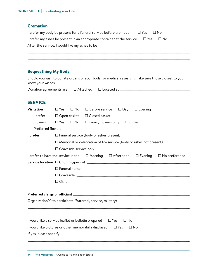### **Cremation**

| After the service, I would like my ashes to be                                                   |  |
|--------------------------------------------------------------------------------------------------|--|
| I prefer my ashes be present in an appropriate container at the service<br>□ Yes<br>⊟ No         |  |
| I prefer my body be present for a funeral service before cremation<br>$\square$ Yes<br>$\Box$ No |  |

\_\_\_\_\_\_\_\_\_\_\_\_\_\_\_\_\_\_\_\_\_\_\_\_\_\_\_\_\_\_\_\_\_\_\_\_\_\_\_\_\_\_\_\_\_\_\_\_\_\_\_\_\_\_\_\_\_\_\_\_\_\_\_\_\_\_\_\_\_\_\_\_\_\_\_\_\_\_\_\_\_\_\_\_\_\_\_\_\_\_\_\_\_\_\_\_\_\_\_\_\_\_\_\_\_\_\_\_\_\_\_\_\_\_\_\_\_\_\_\_\_\_\_\_\_\_\_\_\_\_\_\_\_\_\_\_\_\_\_\_\_\_\_\_\_\_\_\_\_\_\_\_\_\_\_\_\_\_\_\_\_\_\_\_\_\_\_\_\_\_\_\_\_\_\_

### Bequeathing My Body

Should you wish to donate organs or your body for medical research, make sure those closest to you know your wishes.

| Donation agreements are $\Box$ Attached $\Box$ Located at |  |
|-----------------------------------------------------------|--|
|                                                           |  |

### SERVICE

| Visitation                                                                      | $\Box$ Yes | $\square$ No                  | $\square$ Before service                       |                                                                            | $\Box$ Day $\Box$ Evening |                      |
|---------------------------------------------------------------------------------|------------|-------------------------------|------------------------------------------------|----------------------------------------------------------------------------|---------------------------|----------------------|
| I prefer                                                                        |            |                               | $\Box$ Open casket $\Box$ Closed casket        |                                                                            |                           |                      |
| Flowers                                                                         | $\Box$ Yes |                               |                                                | $\Box$ No $\Box$ Family flowers only $\Box$ Other                          |                           |                      |
|                                                                                 |            |                               |                                                |                                                                            |                           |                      |
| I prefer                                                                        |            |                               | $\Box$ Funeral service (body or ashes present) |                                                                            |                           |                      |
|                                                                                 |            |                               |                                                | $\Box$ Memorial or celebration of life service (body or ashes not present) |                           |                      |
|                                                                                 |            | $\Box$ Graveside service only |                                                |                                                                            |                           |                      |
| I prefer to have the service in the □ Morning □ Afternoon □ Evening             |            |                               |                                                |                                                                            |                           | $\Box$ No preference |
|                                                                                 |            |                               |                                                |                                                                            |                           |                      |
|                                                                                 |            |                               |                                                |                                                                            |                           |                      |
|                                                                                 |            |                               |                                                |                                                                            |                           |                      |
|                                                                                 |            |                               |                                                |                                                                            |                           |                      |
|                                                                                 |            |                               |                                                |                                                                            |                           |                      |
|                                                                                 |            |                               |                                                |                                                                            |                           |                      |
|                                                                                 |            |                               |                                                |                                                                            |                           |                      |
|                                                                                 |            |                               |                                                |                                                                            |                           |                      |
|                                                                                 |            |                               |                                                |                                                                            |                           |                      |
| I would like a service leaflet or bulletin prepared $\square$ Yes               |            |                               |                                                | $\Box$ No                                                                  |                           |                      |
| I would like pictures or other memorabilia displayed $\square$ Yes<br>$\Box$ No |            |                               |                                                |                                                                            |                           |                      |
|                                                                                 |            |                               |                                                |                                                                            |                           |                      |
|                                                                                 |            |                               |                                                |                                                                            |                           |                      |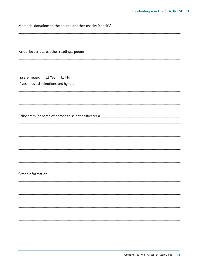| I prefer music □ Yes □ No<br>If yes, musical selections and hymns [1988] [1988] [1988] [1988] [1988] [1988] [1988] [1988] [1988] [1988] [19 |
|---------------------------------------------------------------------------------------------------------------------------------------------|
|                                                                                                                                             |
|                                                                                                                                             |
|                                                                                                                                             |
|                                                                                                                                             |
|                                                                                                                                             |
|                                                                                                                                             |
| Other information                                                                                                                           |
|                                                                                                                                             |
|                                                                                                                                             |
|                                                                                                                                             |
|                                                                                                                                             |
|                                                                                                                                             |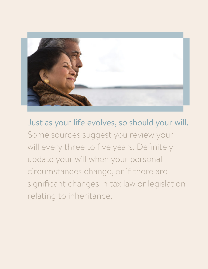

Just as your life evolves, so should your will. Some sources suggest you review your will every three to five years. Definitely update your will when your personal circumstances change, or if there are significant changes in tax law or legislation relating to inheritance.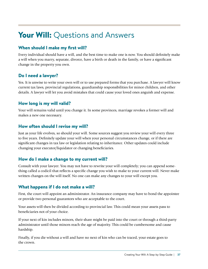# <span id="page-44-0"></span>Your Will: Questions and Answers

### When should I make my first will?

Every individual should have a will, and the best time to make one is now. You should definitely make a will when you marry, separate, divorce, have a birth or death in the family, or have a significant change in the property you own.

### Do I need a lawyer?

Yes. It is unwise to write your own will or to use prepared forms that you purchase. A lawyer will know current tax laws, provincial regulations, guardianship responsibilities for minor children, and other details. A lawyer will let you avoid mistakes that could cause your loved ones anguish and expense.

### How long is my will valid?

Your will remains valid until you change it. In some provinces, marriage revokes a former will and makes a new one necessary.

### How often should I revise my will?

Just as your life evolves, so should your will. Some sources suggest you review your will every three to five years. Definitely update your will when your personal circumstances change, or if there are significant changes in tax law or legislation relating to inheritance. Other updates could include changing your executor/liquidator or changing beneficiaries.

### How do I make a change to my current will?

Consult with your lawyer. You may not have to rewrite your will completely; you can append something called a codicil that reflects a specific change you wish to make to your current will. Never make written changes on the will itself. No one can make any changes to your will except you.

### What happens if I do not make a will?

First, the court will appoint an administrator. An insurance company may have to bond the appointee or provide two personal guarantors who are acceptable to the court.

Your assets will then be divided according to provincial law. This could mean your assets pass to beneficiaries not of your choice.

If your next of kin includes minors, their share might be paid into the court or through a third-party administrator until those minors reach the age of majority. This could be cumbersome and cause hardship.

Finally, if you die without a will and have no next of kin who can be traced, your estate goes to the crown.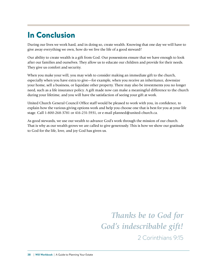# <span id="page-45-0"></span>In Conclusion

During our lives we work hard, and in doing so, create wealth. Knowing that one day we will have to give away everything we own, how do we live the life of a good steward?

Our ability to create wealth is a gift from God. Our possessions ensure that we have enough to look after our families and ourselves. They allow us to educate our children and provide for their needs. They give us comfort and security.

When you make your will, you may wish to consider making an immediate gift to the church, especially when you have extra to give—for example, when you receive an inheritance, downsize your home, sell a business, or liquidate other property. There may also be investments you no longer need, such as a life insurance policy. A gift made now can make a meaningful difference to the church during your lifetime, and you will have the satisfaction of seeing your gift at work.

United Church General Council Office staff would be pleased to work with you, in confidence, to explain how the various giving options work and help you choose one that is best for you at your life stage. Call 1-800-268-3781 or 416-231-5931, or e-mail [planned@united-church.ca](mailto:legacy@united-church.ca).

As good stewards, we use our wealth to advance God's work through the mission of our church. That is why as our wealth grows we are called to give generously. This is how we show our gratitude to God for the life, love, and joy God has given us.

> *Thanks be to God for God's indescribable gift!*  2 Corinthians 9:15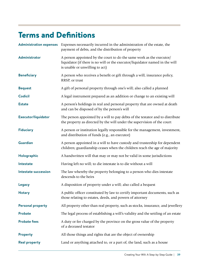# <span id="page-46-0"></span>Terms and Definitions

| <b>Administration expenses</b> | Expenses necessarily incurred in the administration of the estate, the<br>payment of debts, and the distribution of property                                                           |
|--------------------------------|----------------------------------------------------------------------------------------------------------------------------------------------------------------------------------------|
| Administrator                  | A person appointed by the court to do the same work as the executor/<br>liquidator (if there is no will or the executor/liquidator named in the will<br>is unable or unwilling to act) |
| <b>Beneficiary</b>             | A person who receives a benefit or gift through a will, insurance policy,<br>RRSP, or trust                                                                                            |
| <b>Bequest</b>                 | A gift of personal property through one's will; also called a planned                                                                                                                  |
| <b>Codicil</b>                 | A legal instrument prepared as an addition or change to an existing will                                                                                                               |
| <b>Estate</b>                  | A person's holdings in real and personal property that are owned at death<br>and can be disposed of by the person's will                                                               |
| <b>Executor/liquidator</b>     | The person appointed by a will to pay debts of the testator and to distribute<br>the property as directed by the will under the supervision of the court                               |
| <b>Fiduciary</b>               | A person or institution legally responsible for the management, investment,<br>and distribution of funds (e.g., an executor)                                                           |
| <b>Guardian</b>                | A person appointed in a will to have custody and trusteeship for dependent<br>children; guardianship ceases when the children reach the age of majority                                |
| Holographic                    | A handwritten will that may or may not be valid in some jurisdictions                                                                                                                  |
| Intestate                      | Having left no will; to die intestate is to die without a will                                                                                                                         |
| <b>Intestate succession</b>    | The law whereby the property belonging to a person who dies intestate<br>descends to the heirs                                                                                         |
| <b>Legacy</b>                  | A disposition of property under a will; also called a bequest                                                                                                                          |
| <b>Notary</b>                  | A public officer constituted by law to certify important documents, such as<br>those relating to estates, deeds, and powers of attorney                                                |
| <b>Personal property</b>       | All property other than real property, such as stocks, insurance, and jewellery                                                                                                        |
| <b>Probate</b>                 | The legal process of establishing a will's validity and the settling of an estate                                                                                                      |
| <b>Probate fees</b>            | A duty or fee charged by the province on the gross value of the property<br>of a deceased testator                                                                                     |
| <b>Property</b>                | All those things and rights that are the object of ownership                                                                                                                           |
| <b>Real property</b>           | Land or anything attached to, or a part of, the land, such as a house                                                                                                                  |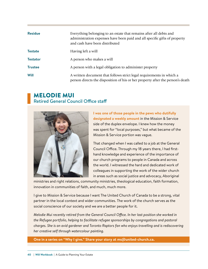| <b>Residue</b>  | Everything belonging to an estate that remains after all debts and<br>administration expenses have been paid and all specific gifts of property<br>and cash have been distributed |
|-----------------|-----------------------------------------------------------------------------------------------------------------------------------------------------------------------------------|
| <b>Testate</b>  | Having left a will                                                                                                                                                                |
| <b>Testator</b> | A person who makes a will                                                                                                                                                         |
| <b>Trustee</b>  | A person with a legal obligation to administer property                                                                                                                           |
| Will            | A written document that follows strict legal requirements in which a<br>person directs the disposition of his or her property after the person's death                            |

### MELODIE MUI Retired General Council Office staff



**I was one of those people in the pews who dutifully designated a weekly amount** in the Mission & Service side of the duplex envelope. I knew how the money was spent for "local purposes," but what became of the Mission & Service portion was vague.

That changed when I was called to a job at the General Council Office. Through my 18 years there, I had firsthand knowledge and experience of the importance of our church programs to people in Canada and across the world. I witnessed the hard and dedicated work of colleagues in supporting the work of the wider church in areas such as social justice and advocacy, Aboriginal

ministries and right relations, community ministries, theological education, faith formation, innovation in communities of faith, and much, much more.

I give to Mission & Service because I want The United Church of Canada to be a strong, vital partner in the local context and wider communities. The work of the church serves as the social conscience of our society and we are a better people for it.

*Melodie Mui recently retired from the General Council Office. In her last position she worked in the Refugee portfolio, helping to facilitate refugee sponsorships by congregations and pastoral charges. She is an avid gardener and Toronto Raptors fan who enjoys travelling and is rediscovering her creative self through watercolour painting.* 

**One in a series on "Why I give." Share your story at ms@united-church.ca.**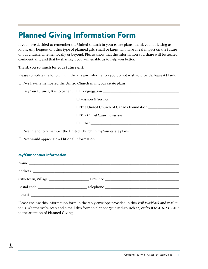## <span id="page-48-0"></span>Planned Giving Information Form

If you have decided to remember the United Church in your estate plans, thank you for letting us know. Any bequest or other type of planned gift, small or large, will have a real impact on the future of our church, whether locally or beyond. Please know that the information you share will be treated confidentially, and that by sharing it you will enable us to help you better.

#### **Thank you so much for your future gift.**

Please complete the following. If there is any information you do not wish to provide, leave it blank.

 $\Box$  I/we have remembered the United Church in my/our estate plans.

| My/our future gift is to benefit: $\Box$ Congregation |  |  |
|-------------------------------------------------------|--|--|
|-------------------------------------------------------|--|--|

□ Mission & Service

¨ The United Church of Canada Foundation \_\_\_\_\_\_\_\_\_\_\_\_\_\_\_\_\_

□ *The United Church Observer* 

¨ Other \_\_\_\_\_\_\_\_\_\_\_\_\_\_\_\_\_\_\_\_\_\_\_\_\_\_\_\_\_\_\_\_\_\_\_\_\_\_\_\_\_\_\_\_\_\_\_\_\_

 $\Box$  I/we intend to remember the United Church in my/our estate plans.

 $\Box$  I/we would appreciate additional information.

### My/Our contact information

 $\mathcal{L}$ 

Please enclose this information form in the reply envelope provided in this *Will Workbook* and mail it to us. Alternatively, scan and e-mail this form to [planned@united-church.ca](mailto:legacy@united-church.ca), or fax it to 416-231-3103 to the attention of Planned Giving.